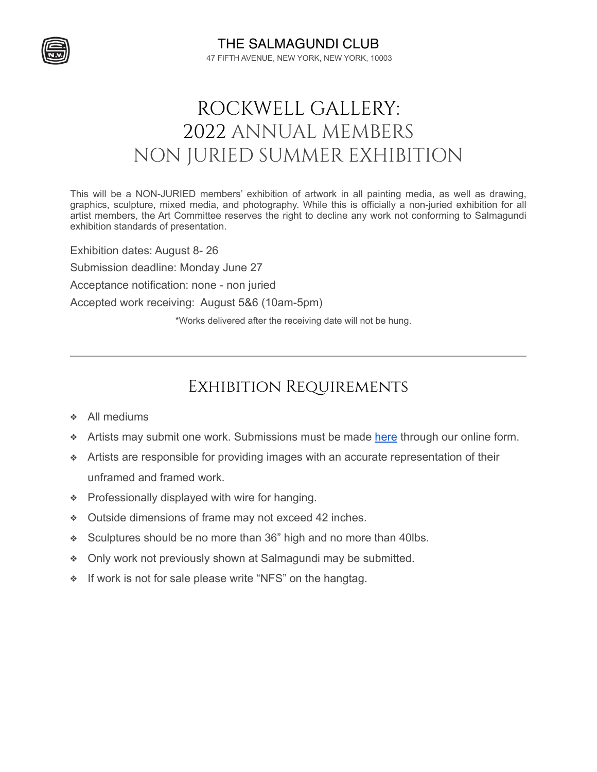

THE SALMAGUNDI CLUB 47 FIFTH AVENUE, NEW YORK, NEW YORK, 10003

## ROCKWELL GALLERY: 2022 ANNUAL MEMBERS NON JURIED SUMMER EXHIBITION

This will be a NON-JURIED members' exhibition of artwork in all painting media, as well as drawing, graphics, sculpture, mixed media, and photography. While this is officially a non-juried exhibition for all artist members, the Art Committee reserves the right to decline any work not conforming to Salmagundi exhibition standards of presentation.

Exhibition dates: August 8- 26 Submission deadline: Monday June 27 Acceptance notification: none - non juried Accepted work receiving: August 5&6 (10am-5pm) \*Works delivered after the receiving date will not be hung.

Exhibition Requirements

- ❖ All mediums
- **◆** Artists may submit one work. Submissions must be made [here](https://showsubmit.com/show/?s=sc-2022-members-non-juried-summer-exhibition) through our online form.
- ❖ Artists are responsible for providing images with an accurate representation of their unframed and framed work.
- ❖ Professionally displayed with wire for hanging.
- ❖ Outside dimensions of frame may not exceed 42 inches.
- ❖ Sculptures should be no more than 36" high and no more than 40lbs.
- ❖ Only work not previously shown at Salmagundi may be submitted.
- ❖ If work is not for sale please write "NFS" on the hangtag.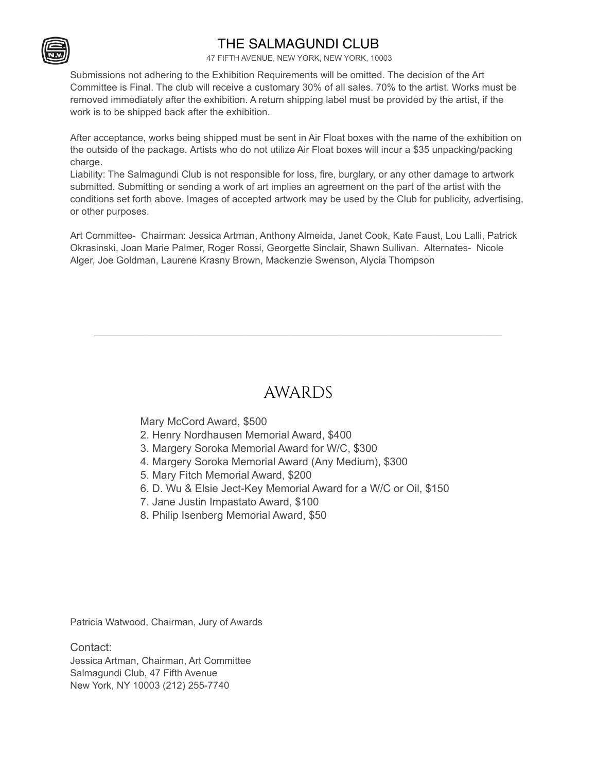## THE SALMAGUNDI CLUB

47 FIFTH AVENUE, NEW YORK, NEW YORK, 10003

Submissions not adhering to the Exhibition Requirements will be omitted. The decision of the Art Committee is Final. The club will receive a customary 30% of all sales. 70% to the artist. Works must be removed immediately after the exhibition. A return shipping label must be provided by the artist, if the work is to be shipped back after the exhibition.

After acceptance, works being shipped must be sent in Air Float boxes with the name of the exhibition on the outside of the package. Artists who do not utilize Air Float boxes will incur a \$35 unpacking/packing charge.

Liability: The Salmagundi Club is not responsible for loss, fire, burglary, or any other damage to artwork submitted. Submitting or sending a work of art implies an agreement on the part of the artist with the conditions set forth above. Images of accepted artwork may be used by the Club for publicity, advertising, or other purposes.

Art Committee- Chairman: Jessica Artman, Anthony Almeida, Janet Cook, Kate Faust, Lou Lalli, Patrick Okrasinski, Joan Marie Palmer, Roger Rossi, Georgette Sinclair, Shawn Sullivan. Alternates- Nicole Alger, Joe Goldman, Laurene Krasny Brown, Mackenzie Swenson, Alycia Thompson

## AWARDS

\_\_\_\_\_\_\_\_\_\_\_\_\_\_\_\_\_\_\_\_\_\_\_\_\_\_\_\_\_\_\_\_\_\_\_\_\_\_\_\_\_\_\_\_\_\_\_\_\_\_\_\_\_\_\_\_\_\_\_\_\_\_\_\_\_\_\_\_\_\_\_\_\_\_\_\_\_\_\_\_\_\_\_\_\_\_\_\_\_\_\_\_\_

Mary McCord Award, \$500

- 2. Henry Nordhausen Memorial Award, \$400
- 3. Margery Soroka Memorial Award for W/C, \$300
- 4. Margery Soroka Memorial Award (Any Medium), \$300
- 5. Mary Fitch Memorial Award, \$200
- 6. D. Wu & Elsie Ject-Key Memorial Award for a W/C or Oil, \$150
- 7. Jane Justin Impastato Award, \$100
- 8. Philip Isenberg Memorial Award, \$50

Patricia Watwood, Chairman, Jury of Awards

Contact: Jessica Artman, Chairman, Art Committee Salmagundi Club, 47 Fifth Avenue New York, NY 10003 (212) 255-7740